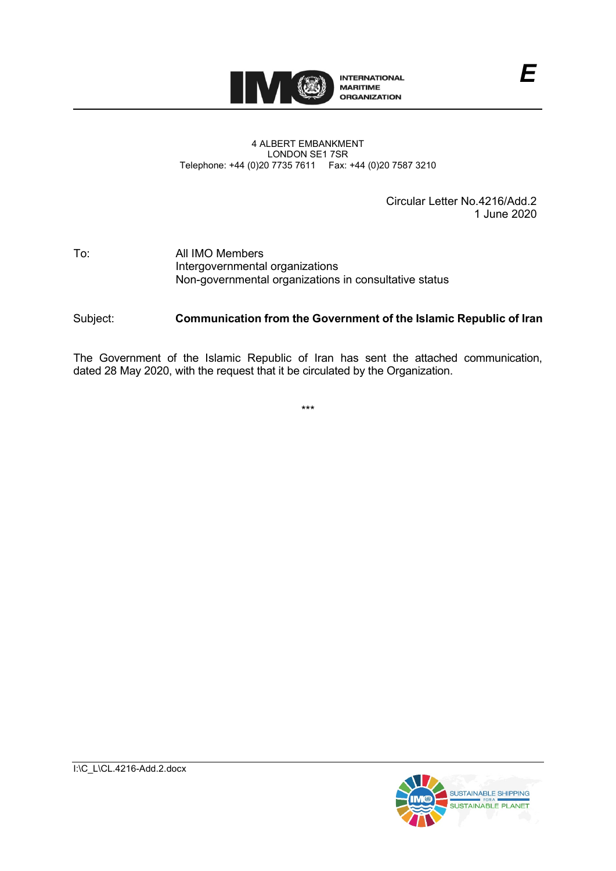

## 4 ALBERT EMBANKMENT LONDON SE1 7SR Telephone: +44 (0)20 7735 7611 Fax: +44 (0)20 7587 3210

Circular Letter No.4216/Add.2 1 June 2020

## To: All IMO Members Intergovernmental organizations Non-governmental organizations in consultative status

## Subject: **Communication from the Government of the Islamic Republic of Iran**

The Government of the Islamic Republic of Iran has sent the attached communication, dated 28 May 2020, with the request that it be circulated by the Organization.

\*\*\*